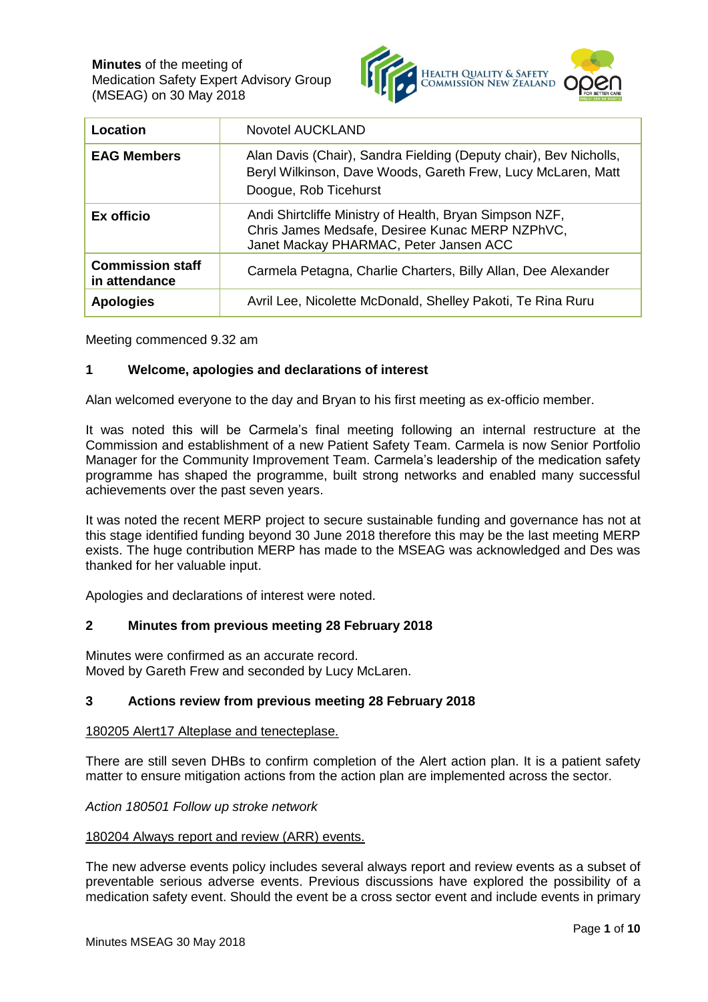

| Location                                 | <b>Novotel AUCKLAND</b>                                                                                                                                    |
|------------------------------------------|------------------------------------------------------------------------------------------------------------------------------------------------------------|
| <b>EAG Members</b>                       | Alan Davis (Chair), Sandra Fielding (Deputy chair), Bev Nicholls,<br>Beryl Wilkinson, Dave Woods, Gareth Frew, Lucy McLaren, Matt<br>Doogue, Rob Ticehurst |
| Ex officio                               | Andi Shirtcliffe Ministry of Health, Bryan Simpson NZF,<br>Chris James Medsafe, Desiree Kunac MERP NZPhVC,<br>Janet Mackay PHARMAC, Peter Jansen ACC       |
| <b>Commission staff</b><br>in attendance | Carmela Petagna, Charlie Charters, Billy Allan, Dee Alexander                                                                                              |
| <b>Apologies</b>                         | Avril Lee, Nicolette McDonald, Shelley Pakoti, Te Rina Ruru                                                                                                |

Meeting commenced 9.32 am

# **1 Welcome, apologies and declarations of interest**

Alan welcomed everyone to the day and Bryan to his first meeting as ex-officio member.

It was noted this will be Carmela's final meeting following an internal restructure at the Commission and establishment of a new Patient Safety Team. Carmela is now Senior Portfolio Manager for the Community Improvement Team. Carmela's leadership of the medication safety programme has shaped the programme, built strong networks and enabled many successful achievements over the past seven years.

It was noted the recent MERP project to secure sustainable funding and governance has not at this stage identified funding beyond 30 June 2018 therefore this may be the last meeting MERP exists. The huge contribution MERP has made to the MSEAG was acknowledged and Des was thanked for her valuable input.

Apologies and declarations of interest were noted.

#### **2 Minutes from previous meeting 28 February 2018**

Minutes were confirmed as an accurate record. Moved by Gareth Frew and seconded by Lucy McLaren.

## **3 Actions review from previous meeting 28 February 2018**

#### 180205 Alert17 Alteplase and tenecteplase.

There are still seven DHBs to confirm completion of the Alert action plan. It is a patient safety matter to ensure mitigation actions from the action plan are implemented across the sector.

*Action 180501 Follow up stroke network* 

#### 180204 Always report and review (ARR) events.

The new adverse events policy includes several always report and review events as a subset of preventable serious adverse events. Previous discussions have explored the possibility of a medication safety event. Should the event be a cross sector event and include events in primary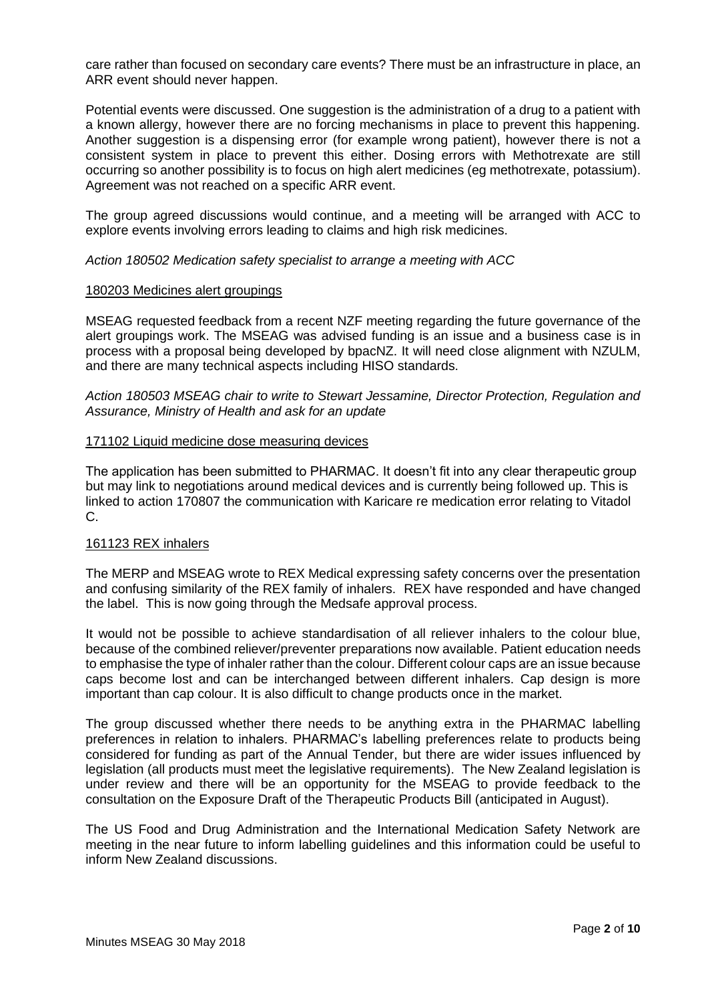care rather than focused on secondary care events? There must be an infrastructure in place, an ARR event should never happen.

Potential events were discussed. One suggestion is the administration of a drug to a patient with a known allergy, however there are no forcing mechanisms in place to prevent this happening. Another suggestion is a dispensing error (for example wrong patient), however there is not a consistent system in place to prevent this either. Dosing errors with Methotrexate are still occurring so another possibility is to focus on high alert medicines (eg methotrexate, potassium). Agreement was not reached on a specific ARR event.

The group agreed discussions would continue, and a meeting will be arranged with ACC to explore events involving errors leading to claims and high risk medicines.

*Action 180502 Medication safety specialist to arrange a meeting with ACC*

#### 180203 Medicines alert groupings

MSEAG requested feedback from a recent NZF meeting regarding the future governance of the alert groupings work. The MSEAG was advised funding is an issue and a business case is in process with a proposal being developed by bpacNZ. It will need close alignment with NZULM, and there are many technical aspects including HISO standards.

*Action 180503 MSEAG chair to write to Stewart Jessamine, Director Protection, Regulation and Assurance, Ministry of Health and ask for an update*

#### 171102 Liquid medicine dose measuring devices

The application has been submitted to PHARMAC. It doesn't fit into any clear therapeutic group but may link to negotiations around medical devices and is currently being followed up. This is linked to action 170807 the communication with Karicare re medication error relating to Vitadol C.

#### 161123 REX inhalers

The MERP and MSEAG wrote to REX Medical expressing safety concerns over the presentation and confusing similarity of the REX family of inhalers. REX have responded and have changed the label. This is now going through the Medsafe approval process.

It would not be possible to achieve standardisation of all reliever inhalers to the colour blue, because of the combined reliever/preventer preparations now available. Patient education needs to emphasise the type of inhaler rather than the colour. Different colour caps are an issue because caps become lost and can be interchanged between different inhalers. Cap design is more important than cap colour. It is also difficult to change products once in the market.

The group discussed whether there needs to be anything extra in the PHARMAC labelling preferences in relation to inhalers. PHARMAC's labelling preferences relate to products being considered for funding as part of the Annual Tender, but there are wider issues influenced by legislation (all products must meet the legislative requirements). The New Zealand legislation is under review and there will be an opportunity for the MSEAG to provide feedback to the consultation on the Exposure Draft of the Therapeutic Products Bill (anticipated in August).

The US Food and Drug Administration and the International Medication Safety Network are meeting in the near future to inform labelling guidelines and this information could be useful to inform New Zealand discussions.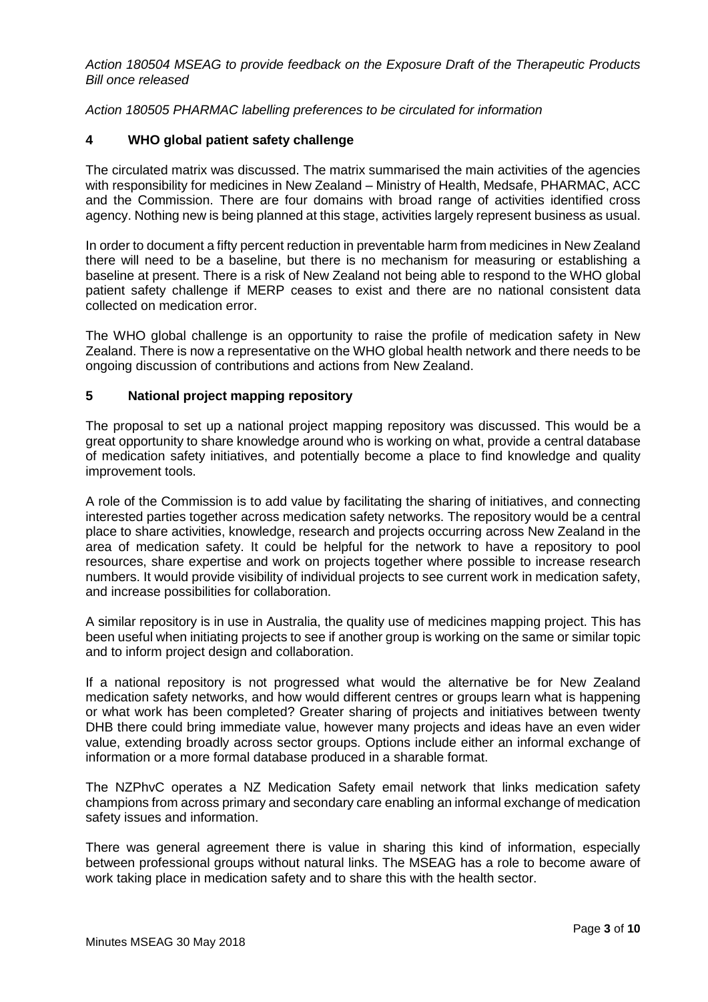*Action 180504 MSEAG to provide feedback on the Exposure Draft of the Therapeutic Products Bill once released* 

*Action 180505 PHARMAC labelling preferences to be circulated for information* 

## **4 WHO global patient safety challenge**

The circulated matrix was discussed. The matrix summarised the main activities of the agencies with responsibility for medicines in New Zealand – Ministry of Health, Medsafe, PHARMAC, ACC and the Commission. There are four domains with broad range of activities identified cross agency. Nothing new is being planned at this stage, activities largely represent business as usual.

In order to document a fifty percent reduction in preventable harm from medicines in New Zealand there will need to be a baseline, but there is no mechanism for measuring or establishing a baseline at present. There is a risk of New Zealand not being able to respond to the WHO global patient safety challenge if MERP ceases to exist and there are no national consistent data collected on medication error.

The WHO global challenge is an opportunity to raise the profile of medication safety in New Zealand. There is now a representative on the WHO global health network and there needs to be ongoing discussion of contributions and actions from New Zealand.

## **5 National project mapping repository**

The proposal to set up a national project mapping repository was discussed. This would be a great opportunity to share knowledge around who is working on what, provide a central database of medication safety initiatives, and potentially become a place to find knowledge and quality improvement tools.

A role of the Commission is to add value by facilitating the sharing of initiatives, and connecting interested parties together across medication safety networks. The repository would be a central place to share activities, knowledge, research and projects occurring across New Zealand in the area of medication safety. It could be helpful for the network to have a repository to pool resources, share expertise and work on projects together where possible to increase research numbers. It would provide visibility of individual projects to see current work in medication safety, and increase possibilities for collaboration.

A similar repository is in use in Australia, the quality use of medicines mapping project. This has been useful when initiating projects to see if another group is working on the same or similar topic and to inform project design and collaboration.

If a national repository is not progressed what would the alternative be for New Zealand medication safety networks, and how would different centres or groups learn what is happening or what work has been completed? Greater sharing of projects and initiatives between twenty DHB there could bring immediate value, however many projects and ideas have an even wider value, extending broadly across sector groups. Options include either an informal exchange of information or a more formal database produced in a sharable format.

The NZPhvC operates a NZ Medication Safety email network that links medication safety champions from across primary and secondary care enabling an informal exchange of medication safety issues and information.

There was general agreement there is value in sharing this kind of information, especially between professional groups without natural links. The MSEAG has a role to become aware of work taking place in medication safety and to share this with the health sector.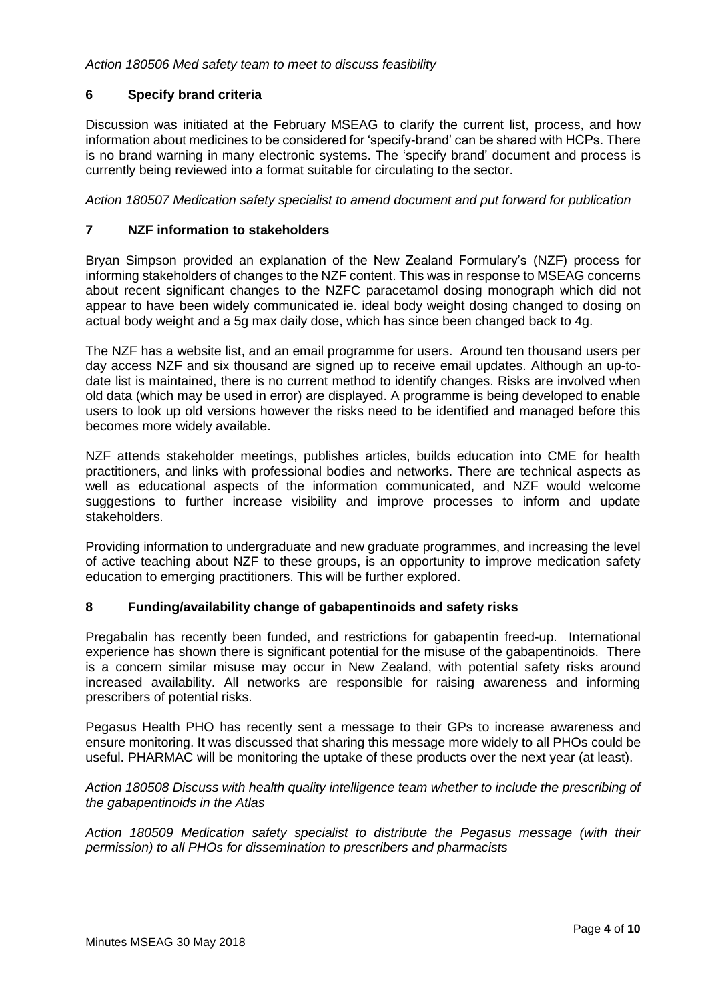# **6 Specify brand criteria**

Discussion was initiated at the February MSEAG to clarify the current list, process, and how information about medicines to be considered for 'specify-brand' can be shared with HCPs. There is no brand warning in many electronic systems. The 'specify brand' document and process is currently being reviewed into a format suitable for circulating to the sector.

*Action 180507 Medication safety specialist to amend document and put forward for publication*

## **7 NZF information to stakeholders**

Bryan Simpson provided an explanation of the New Zealand Formulary's (NZF) process for informing stakeholders of changes to the NZF content. This was in response to MSEAG concerns about recent significant changes to the NZFC paracetamol dosing monograph which did not appear to have been widely communicated ie. ideal body weight dosing changed to dosing on actual body weight and a 5g max daily dose, which has since been changed back to 4g.

The NZF has a website list, and an email programme for users. Around ten thousand users per day access NZF and six thousand are signed up to receive email updates. Although an up-todate list is maintained, there is no current method to identify changes. Risks are involved when old data (which may be used in error) are displayed. A programme is being developed to enable users to look up old versions however the risks need to be identified and managed before this becomes more widely available.

NZF attends stakeholder meetings, publishes articles, builds education into CME for health practitioners, and links with professional bodies and networks. There are technical aspects as well as educational aspects of the information communicated, and NZF would welcome suggestions to further increase visibility and improve processes to inform and update stakeholders.

Providing information to undergraduate and new graduate programmes, and increasing the level of active teaching about NZF to these groups, is an opportunity to improve medication safety education to emerging practitioners. This will be further explored.

#### **8 Funding/availability change of gabapentinoids and safety risks**

Pregabalin has recently been funded, and restrictions for gabapentin freed-up. International experience has shown there is significant potential for the misuse of the gabapentinoids. There is a concern similar misuse may occur in New Zealand, with potential safety risks around increased availability. All networks are responsible for raising awareness and informing prescribers of potential risks.

Pegasus Health PHO has recently sent a message to their GPs to increase awareness and ensure monitoring. It was discussed that sharing this message more widely to all PHOs could be useful. PHARMAC will be monitoring the uptake of these products over the next year (at least).

*Action 180508 Discuss with health quality intelligence team whether to include the prescribing of the gabapentinoids in the Atlas*

*Action 180509 Medication safety specialist to distribute the Pegasus message (with their permission) to all PHOs for dissemination to prescribers and pharmacists*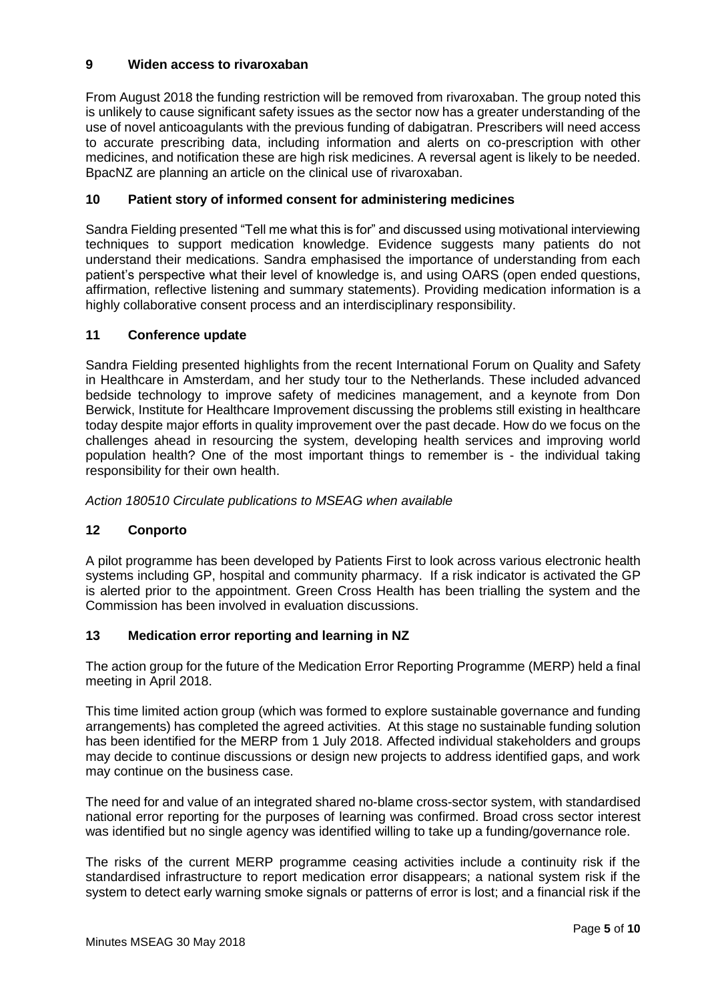# **9 Widen access to rivaroxaban**

From August 2018 the funding restriction will be removed from rivaroxaban. The group noted this is unlikely to cause significant safety issues as the sector now has a greater understanding of the use of novel anticoagulants with the previous funding of dabigatran. Prescribers will need access to accurate prescribing data, including information and alerts on co-prescription with other medicines, and notification these are high risk medicines. A reversal agent is likely to be needed. BpacNZ are planning an article on the clinical use of rivaroxaban.

# **10 Patient story of informed consent for administering medicines**

Sandra Fielding presented "Tell me what this is for" and discussed using motivational interviewing techniques to support medication knowledge. Evidence suggests many patients do not understand their medications. Sandra emphasised the importance of understanding from each patient's perspective what their level of knowledge is, and using OARS (open ended questions, affirmation, reflective listening and summary statements). Providing medication information is a highly collaborative consent process and an interdisciplinary responsibility.

# **11 Conference update**

Sandra Fielding presented highlights from the recent International Forum on Quality and Safety in Healthcare in Amsterdam, and her study tour to the Netherlands. These included advanced bedside technology to improve safety of medicines management, and a keynote from Don Berwick, Institute for Healthcare Improvement discussing the problems still existing in healthcare today despite major efforts in quality improvement over the past decade. How do we focus on the challenges ahead in resourcing the system, developing health services and improving world population health? One of the most important things to remember is - the individual taking responsibility for their own health.

*Action 180510 Circulate publications to MSEAG when available*

# **12 Conporto**

A pilot programme has been developed by Patients First to look across various electronic health systems including GP, hospital and community pharmacy. If a risk indicator is activated the GP is alerted prior to the appointment. Green Cross Health has been trialling the system and the Commission has been involved in evaluation discussions.

# **13 Medication error reporting and learning in NZ**

The action group for the future of the Medication Error Reporting Programme (MERP) held a final meeting in April 2018.

This time limited action group (which was formed to explore sustainable governance and funding arrangements) has completed the agreed activities. At this stage no sustainable funding solution has been identified for the MERP from 1 July 2018. Affected individual stakeholders and groups may decide to continue discussions or design new projects to address identified gaps, and work may continue on the business case.

The need for and value of an integrated shared no-blame cross-sector system, with standardised national error reporting for the purposes of learning was confirmed. Broad cross sector interest was identified but no single agency was identified willing to take up a funding/governance role.

The risks of the current MERP programme ceasing activities include a continuity risk if the standardised infrastructure to report medication error disappears; a national system risk if the system to detect early warning smoke signals or patterns of error is lost; and a financial risk if the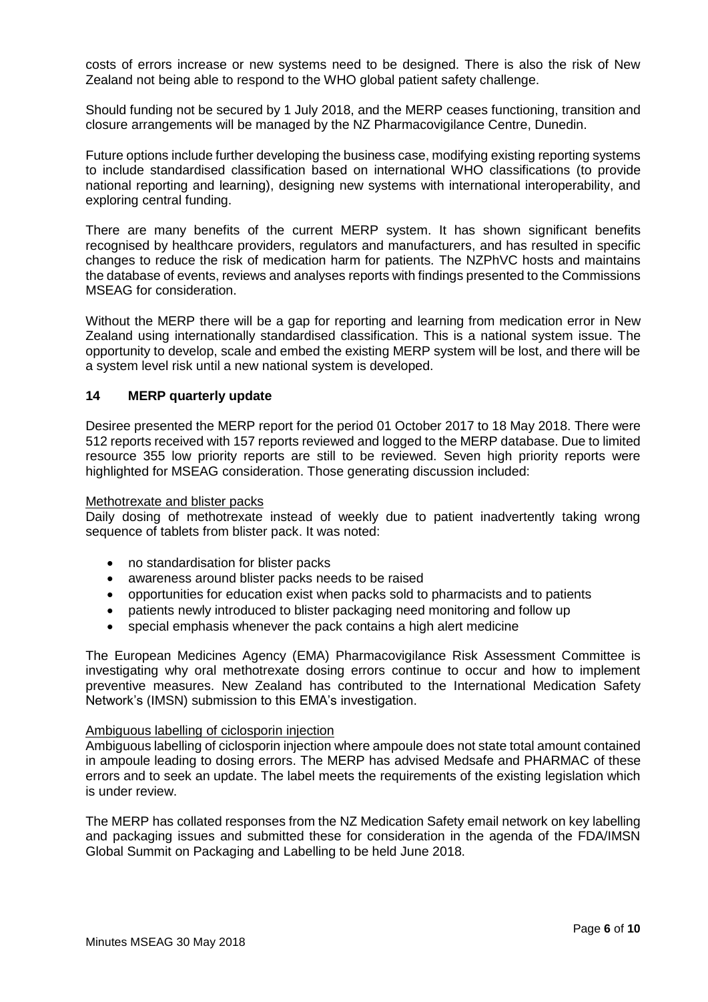costs of errors increase or new systems need to be designed. There is also the risk of New Zealand not being able to respond to the WHO global patient safety challenge.

Should funding not be secured by 1 July 2018, and the MERP ceases functioning, transition and closure arrangements will be managed by the NZ Pharmacovigilance Centre, Dunedin.

Future options include further developing the business case, modifying existing reporting systems to include standardised classification based on international WHO classifications (to provide national reporting and learning), designing new systems with international interoperability, and exploring central funding.

There are many benefits of the current MERP system. It has shown significant benefits recognised by healthcare providers, regulators and manufacturers, and has resulted in specific changes to reduce the risk of medication harm for patients. The NZPhVC hosts and maintains the database of events, reviews and analyses reports with findings presented to the Commissions MSEAG for consideration.

Without the MERP there will be a gap for reporting and learning from medication error in New Zealand using internationally standardised classification. This is a national system issue. The opportunity to develop, scale and embed the existing MERP system will be lost, and there will be a system level risk until a new national system is developed.

## **14 MERP quarterly update**

Desiree presented the MERP report for the period 01 October 2017 to 18 May 2018. There were 512 reports received with 157 reports reviewed and logged to the MERP database. Due to limited resource 355 low priority reports are still to be reviewed. Seven high priority reports were highlighted for MSEAG consideration. Those generating discussion included:

#### Methotrexate and blister packs

Daily dosing of methotrexate instead of weekly due to patient inadvertently taking wrong sequence of tablets from blister pack. It was noted:

- no standardisation for blister packs
- awareness around blister packs needs to be raised
- opportunities for education exist when packs sold to pharmacists and to patients
- patients newly introduced to blister packaging need monitoring and follow up
- special emphasis whenever the pack contains a high alert medicine

The European Medicines Agency (EMA) Pharmacovigilance Risk Assessment Committee is investigating why oral methotrexate dosing errors continue to occur and how to implement preventive measures. New Zealand has contributed to the International Medication Safety Network's (IMSN) submission to this EMA's investigation.

#### Ambiguous labelling of ciclosporin injection

Ambiguous labelling of ciclosporin injection where ampoule does not state total amount contained in ampoule leading to dosing errors. The MERP has advised Medsafe and PHARMAC of these errors and to seek an update. The label meets the requirements of the existing legislation which is under review.

The MERP has collated responses from the NZ Medication Safety email network on key labelling and packaging issues and submitted these for consideration in the agenda of the FDA/IMSN Global Summit on Packaging and Labelling to be held June 2018.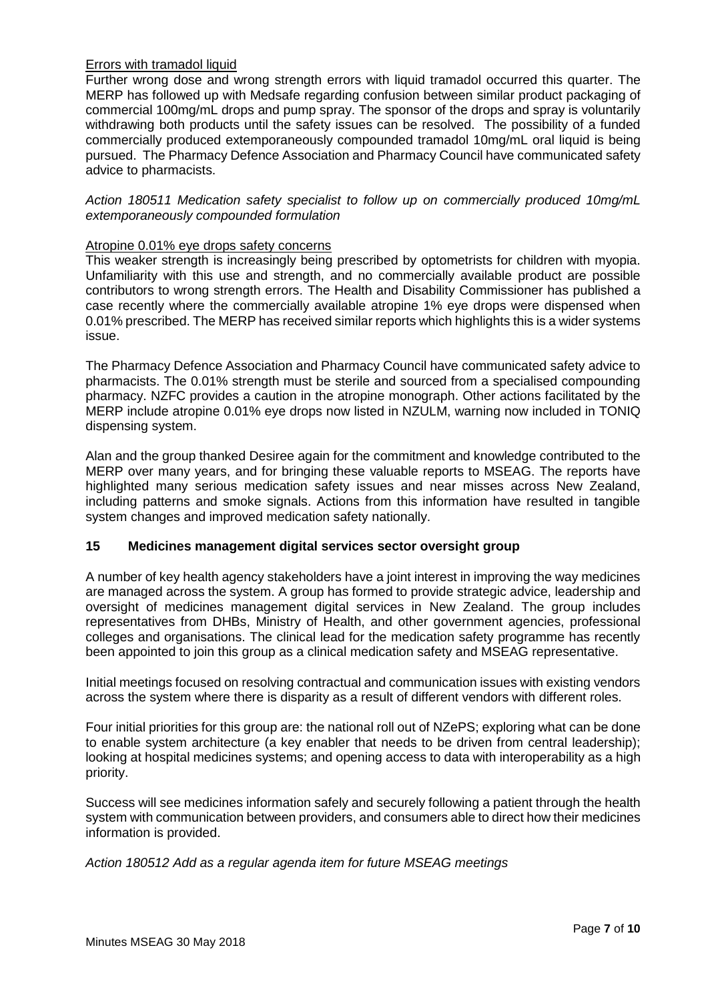## Errors with tramadol liquid

Further wrong dose and wrong strength errors with liquid tramadol occurred this quarter. The MERP has followed up with Medsafe regarding confusion between similar product packaging of commercial 100mg/mL drops and pump spray. The sponsor of the drops and spray is voluntarily withdrawing both products until the safety issues can be resolved. The possibility of a funded commercially produced extemporaneously compounded tramadol 10mg/mL oral liquid is being pursued. The Pharmacy Defence Association and Pharmacy Council have communicated safety advice to pharmacists.

*Action 180511 Medication safety specialist to follow up on commercially produced 10mg/mL extemporaneously compounded formulation*

## Atropine 0.01% eye drops safety concerns

This weaker strength is increasingly being prescribed by optometrists for children with myopia. Unfamiliarity with this use and strength, and no commercially available product are possible contributors to wrong strength errors. The Health and Disability Commissioner has published a case recently where the commercially available atropine 1% eye drops were dispensed when 0.01% prescribed. The MERP has received similar reports which highlights this is a wider systems issue.

The Pharmacy Defence Association and Pharmacy Council have communicated safety advice to pharmacists. The 0.01% strength must be sterile and sourced from a specialised compounding pharmacy. NZFC provides a caution in the atropine monograph. Other actions facilitated by the MERP include atropine 0.01% eye drops now listed in NZULM, warning now included in TONIQ dispensing system.

Alan and the group thanked Desiree again for the commitment and knowledge contributed to the MERP over many years, and for bringing these valuable reports to MSEAG. The reports have highlighted many serious medication safety issues and near misses across New Zealand, including patterns and smoke signals. Actions from this information have resulted in tangible system changes and improved medication safety nationally.

# **15 Medicines management digital services sector oversight group**

A number of key health agency stakeholders have a joint interest in improving the way medicines are managed across the system. A group has formed to provide strategic advice, leadership and oversight of medicines management digital services in New Zealand. The group includes representatives from DHBs, Ministry of Health, and other government agencies, professional colleges and organisations. The clinical lead for the medication safety programme has recently been appointed to join this group as a clinical medication safety and MSEAG representative.

Initial meetings focused on resolving contractual and communication issues with existing vendors across the system where there is disparity as a result of different vendors with different roles.

Four initial priorities for this group are: the national roll out of NZePS; exploring what can be done to enable system architecture (a key enabler that needs to be driven from central leadership); looking at hospital medicines systems; and opening access to data with interoperability as a high priority.

Success will see medicines information safely and securely following a patient through the health system with communication between providers, and consumers able to direct how their medicines information is provided.

*Action 180512 Add as a regular agenda item for future MSEAG meetings*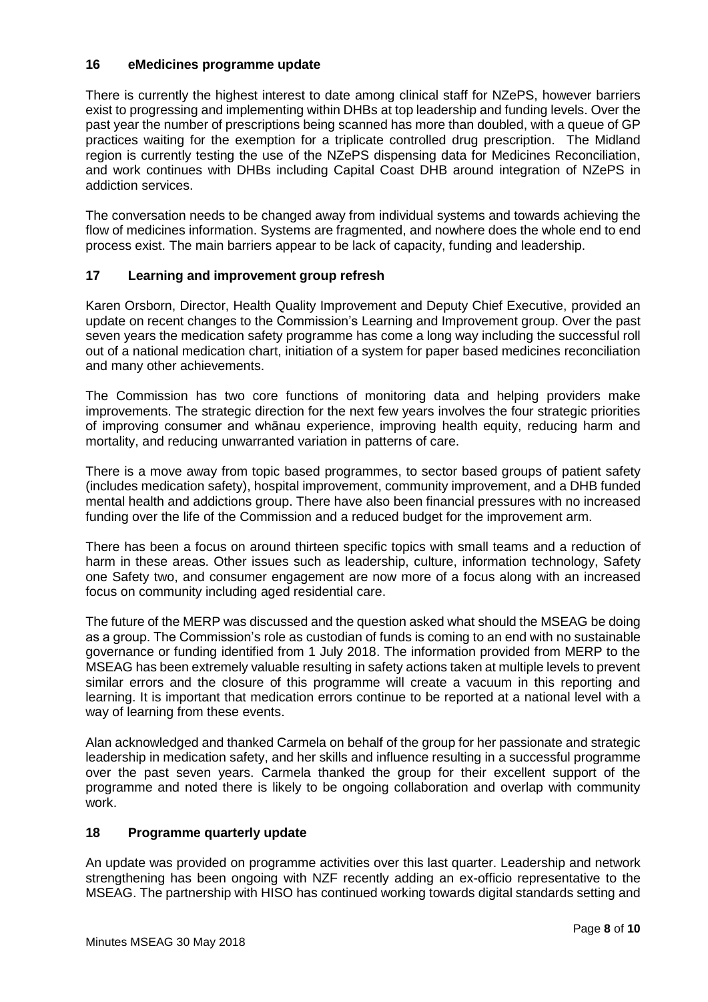## **16 eMedicines programme update**

There is currently the highest interest to date among clinical staff for NZePS, however barriers exist to progressing and implementing within DHBs at top leadership and funding levels. Over the past year the number of prescriptions being scanned has more than doubled, with a queue of GP practices waiting for the exemption for a triplicate controlled drug prescription. The Midland region is currently testing the use of the NZePS dispensing data for Medicines Reconciliation, and work continues with DHBs including Capital Coast DHB around integration of NZePS in addiction services.

The conversation needs to be changed away from individual systems and towards achieving the flow of medicines information. Systems are fragmented, and nowhere does the whole end to end process exist. The main barriers appear to be lack of capacity, funding and leadership.

# **17 Learning and improvement group refresh**

Karen Orsborn, Director, Health Quality Improvement and Deputy Chief Executive, provided an update on recent changes to the Commission's Learning and Improvement group. Over the past seven years the medication safety programme has come a long way including the successful roll out of a national medication chart, initiation of a system for paper based medicines reconciliation and many other achievements.

The Commission has two core functions of monitoring data and helping providers make improvements. The strategic direction for the next few years involves the four strategic priorities of improving consumer and whānau experience, improving health equity, reducing harm and mortality, and reducing unwarranted variation in patterns of care.

There is a move away from topic based programmes, to sector based groups of patient safety (includes medication safety), hospital improvement, community improvement, and a DHB funded mental health and addictions group. There have also been financial pressures with no increased funding over the life of the Commission and a reduced budget for the improvement arm.

There has been a focus on around thirteen specific topics with small teams and a reduction of harm in these areas. Other issues such as leadership, culture, information technology, Safety one Safety two, and consumer engagement are now more of a focus along with an increased focus on community including aged residential care.

The future of the MERP was discussed and the question asked what should the MSEAG be doing as a group. The Commission's role as custodian of funds is coming to an end with no sustainable governance or funding identified from 1 July 2018. The information provided from MERP to the MSEAG has been extremely valuable resulting in safety actions taken at multiple levels to prevent similar errors and the closure of this programme will create a vacuum in this reporting and learning. It is important that medication errors continue to be reported at a national level with a way of learning from these events.

Alan acknowledged and thanked Carmela on behalf of the group for her passionate and strategic leadership in medication safety, and her skills and influence resulting in a successful programme over the past seven years. Carmela thanked the group for their excellent support of the programme and noted there is likely to be ongoing collaboration and overlap with community work.

# **18 Programme quarterly update**

An update was provided on programme activities over this last quarter. Leadership and network strengthening has been ongoing with NZF recently adding an ex-officio representative to the MSEAG. The partnership with HISO has continued working towards digital standards setting and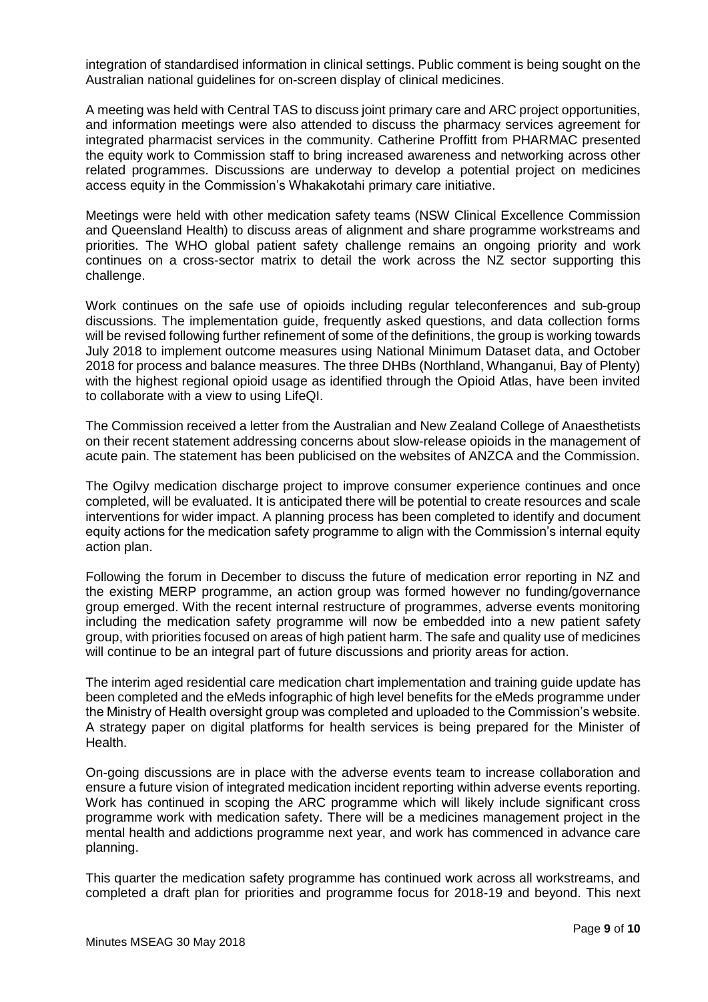integration of standardised information in clinical settings. Public comment is being sought on the Australian national guidelines for on-screen display of clinical medicines.

A meeting was held with Central TAS to discuss joint primary care and ARC project opportunities, and information meetings were also attended to discuss the pharmacy services agreement for integrated pharmacist services in the community. Catherine Proffitt from PHARMAC presented the equity work to Commission staff to bring increased awareness and networking across other related programmes. Discussions are underway to develop a potential project on medicines access equity in the Commission's Whakakotahi primary care initiative.

Meetings were held with other medication safety teams (NSW Clinical Excellence Commission and Queensland Health) to discuss areas of alignment and share programme workstreams and priorities. The WHO global patient safety challenge remains an ongoing priority and work continues on a cross-sector matrix to detail the work across the NZ sector supporting this challenge.

Work continues on the safe use of opioids including regular teleconferences and sub-group discussions. The implementation guide, frequently asked questions, and data collection forms will be revised following further refinement of some of the definitions, the group is working towards July 2018 to implement outcome measures using National Minimum Dataset data, and October 2018 for process and balance measures. The three DHBs (Northland, Whanganui, Bay of Plenty) with the highest regional opioid usage as identified through the Opioid Atlas, have been invited to collaborate with a view to using LifeQI.

The Commission received a letter from the Australian and New Zealand College of Anaesthetists on their recent statement addressing concerns about slow-release opioids in the management of acute pain. The statement has been publicised on the websites of ANZCA and the Commission.

The Ogilvy medication discharge project to improve consumer experience continues and once completed, will be evaluated. It is anticipated there will be potential to create resources and scale interventions for wider impact. A planning process has been completed to identify and document equity actions for the medication safety programme to align with the Commission's internal equity action plan.

Following the forum in December to discuss the future of medication error reporting in NZ and the existing MERP programme, an action group was formed however no funding/governance group emerged. With the recent internal restructure of programmes, adverse events monitoring including the medication safety programme will now be embedded into a new patient safety group, with priorities focused on areas of high patient harm. The safe and quality use of medicines will continue to be an integral part of future discussions and priority areas for action.

The interim aged residential care medication chart implementation and training guide update has been completed and the eMeds infographic of high level benefits for the eMeds programme under the Ministry of Health oversight group was completed and uploaded to the Commission's website. A strategy paper on digital platforms for health services is being prepared for the Minister of Health.

On-going discussions are in place with the adverse events team to increase collaboration and ensure a future vision of integrated medication incident reporting within adverse events reporting. Work has continued in scoping the ARC programme which will likely include significant cross programme work with medication safety. There will be a medicines management project in the mental health and addictions programme next year, and work has commenced in advance care planning.

This quarter the medication safety programme has continued work across all workstreams, and completed a draft plan for priorities and programme focus for 2018-19 and beyond. This next